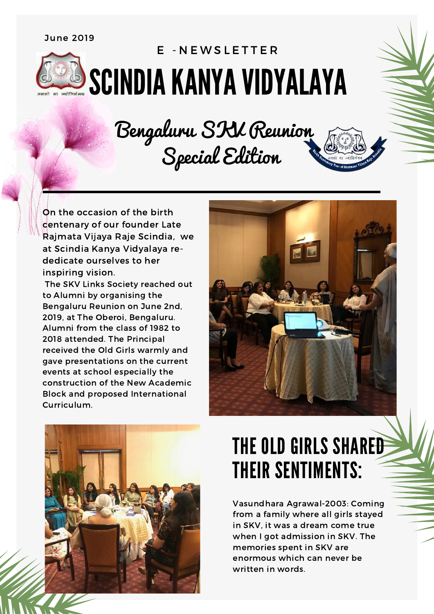## June 2019

## SCINDIA KANYA VIDYALAYA E - N E W S L E T T E R

Bengaluru SKV Reunion Special Edition

On the occasion of the birth centenary of our founder Late Rajmata Vijaya Raje Scindia, we at Scindia Kanya Vidyalaya rededicate ourselves to her inspiring vision.

The SKV Links Society reached out to Alumni by organising the Bengaluru Reunion on June 2nd, 2019, at The Oberoi, Bengaluru. Alumni from the class of 1982 to 2018 attended. The Principal received the Old Girls warmly and gave presentations on the current events at school especially the construction of the New Academic Block and proposed International Curriculum.





## THE OLD GIRLS SHARED THEIR SENTIMENTS:

Vasundhara Agrawal-2003: Coming from a family where all girls stayed in SKV, it was a dream come true when I got admission in SKV. The memories spent in SKV are enormous which can never be written in words.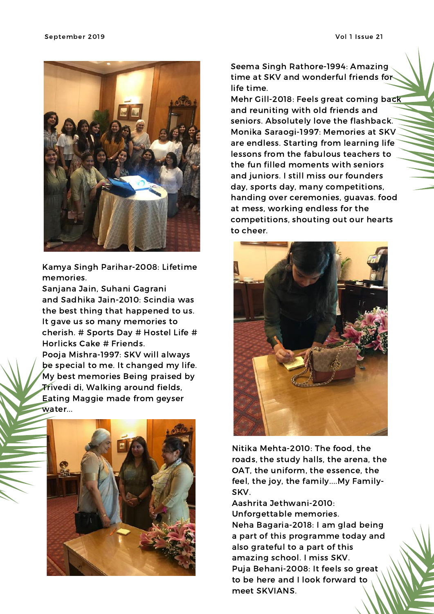

Kamya Singh Parihar-2008: Lifetime memories.

Sanjana Jain, Suhani Gagrani and Sadhika Jain-2010: Scindia was the best thing that happened to us. It gave us so many memories to cherish. # Sports Day # Hostel Life # Horlicks Cake # Friends. Pooja Mishra-1997: SKV will always be special to me. It changed my life. My best memories Being praised by

Trivedi di, Walking around fields, Eating Maggie made from geyser water...



Seema Singh Rathore-1994: Amazing time at SKV and wonderful friends for life time.

Mehr Gill-2018: Feels great coming back and reuniting with old friends and seniors. Absolutely love the flashback. Monika Saraogi-1997: Memories at SKV are endless. Starting from learning life lessons from the fabulous teachers to the fun filled moments with seniors and juniors. I still miss our founders day, sports day, many competitions, handing over ceremonies, guavas. food at mess, working endless for the competitions, shouting out our hearts to cheer.



Nitika Mehta-2010: The food, the roads, the study halls, the arena, the OAT, the uniform, the essence, the feel, the joy, the family....My Family-SKV.

Aashrita Jethwani-2010: Unforgettable memories. Neha Bagaria-2018: I am glad being a part of this programme today and also grateful to a part of this amazing school. I miss SKV. Puja Behani-2008: It feels so great to be here and I look forward to meet SKVIANS.